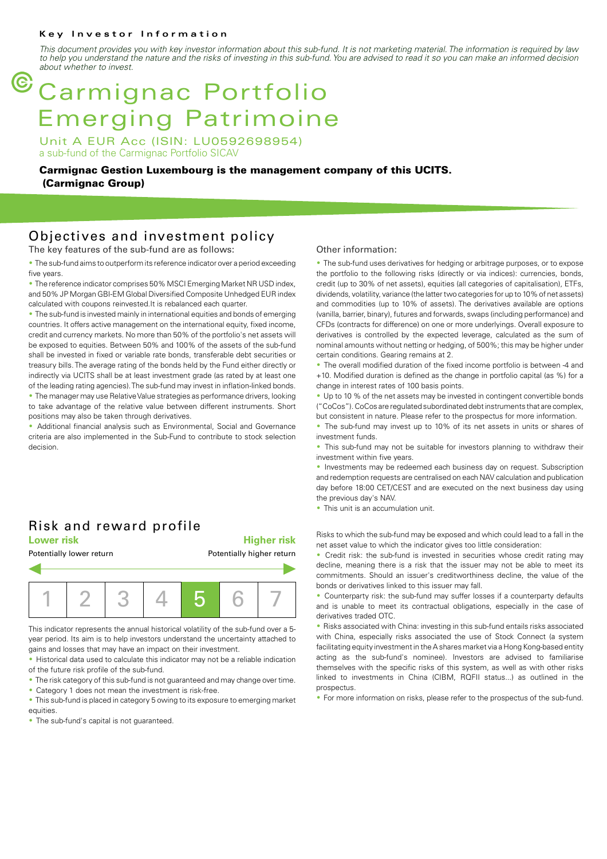#### **Key Investor Information**

*This document provides you with key investor information about this sub-fund. It is not marketing material. The information is required by law to help you understand the nature and the risks of investing in this sub-fund. You are advised to read it so you can make an informed decision about whether to invest.*

# G Carmignac Portfolio Emerging Patrimoine

Unit A EUR Acc (ISIN: LU0592698954) a sub-fund of the Carmignac Portfolio SICAV

**Carmignac Gestion Luxembourg is the management company of this UCITS. (Carmignac Group)**

### Objectives and investment policy

The key features of the sub-fund are as follows:

• The sub-fund aims to outperform its reference indicator over a period exceeding five years.

• The reference indicator comprises 50% MSCI Emerging Market NR USD index, and 50% JP Morgan GBI-EM Global Diversified Composite Unhedged EUR index calculated with coupons reinvested.It is rebalanced each quarter.

• The sub-fund is invested mainly in international equities and bonds of emerging countries. It offers active management on the international equity, fixed income, credit and currency markets. No more than 50% of the portfolio's net assets will be exposed to equities. Between 50% and 100% of the assets of the sub-fund shall be invested in fixed or variable rate bonds, transferable debt securities or treasury bills. The average rating of the bonds held by the Fund either directly or indirectly via UCITS shall be at least investment grade (as rated by at least one of the leading rating agencies). The sub-fund may invest in inflation-linked bonds.

• The manager may use Relative Value strategies as performance drivers, looking to take advantage of the relative value between different instruments. Short positions may also be taken through derivatives.

Additional financial analysis such as Environmental, Social and Governance criteria are also implemented in the Sub-Fund to contribute to stock selection decision.

# Risk and reward profile

**Lower risk Higher risk**

#### Potentially lower return **Potentially higher return**



This indicator represents the annual historical volatility of the sub-fund over a 5 year period. Its aim is to help investors understand the uncertainty attached to gains and losses that may have an impact on their investment.

Historical data used to calculate this indicator may not be a reliable indication of the future risk profile of the sub-fund.

- The risk category of this sub-fund is not guaranteed and may change over time.
- Category 1 does not mean the investment is risk-free.
- This sub-fund is placed in category 5 owing to its exposure to emerging market equities.
- The sub-fund's capital is not guaranteed.

#### Other information:

• The sub-fund uses derivatives for hedging or arbitrage purposes, or to expose the portfolio to the following risks (directly or via indices): currencies, bonds, credit (up to 30% of net assets), equities (all categories of capitalisation), ETFs, dividends, volatility, variance (the latter two categories for up to 10% of net assets) and commodities (up to 10% of assets). The derivatives available are options (vanilla, barrier, binary), futures and forwards, swaps (including performance) and CFDs (contracts for difference) on one or more underlyings. Overall exposure to derivatives is controlled by the expected leverage, calculated as the sum of nominal amounts without netting or hedging, of 500%; this may be higher under certain conditions. Gearing remains at 2.

2 The overall modified duration of the fixed income portfolio is between -4 and +10. Modified duration is defined as the change in portfolio capital (as %) for a change in interest rates of 100 basis points.

• Up to 10 % of the net assets may be invested in contingent convertible bonds ("CoCos"). CoCos are regulated subordinated debt instruments that are complex, but consistent in nature. Please refer to the prospectus for more information.

• The sub-fund may invest up to 10% of its net assets in units or shares of

This sub-fund may not be suitable for investors planning to withdraw their investment within five years.

• Investments may be redeemed each business day on request. Subscription and redemption requests are centralised on each NAV calculation and publication day before 18:00 CET/CEST and are executed on the next business day using the previous day's NAV.

• This unit is an accumulation unit.

investment funds.

Risks to which the sub-fund may be exposed and which could lead to a fall in the net asset value to which the indicator gives too little consideration:

• Credit risk: the sub-fund is invested in securities whose credit rating may decline, meaning there is a risk that the issuer may not be able to meet its commitments. Should an issuer's creditworthiness decline, the value of the bonds or derivatives linked to this issuer may fall.

• Counterparty risk: the sub-fund may suffer losses if a counterparty defaults and is unable to meet its contractual obligations, especially in the case of derivatives traded OTC.

• Risks associated with China: investing in this sub-fund entails risks associated with China, especially risks associated the use of Stock Connect (a system facilitating equity investment in the A shares market via a Hong Kong-based entity acting as the sub-fund's nominee). Investors are advised to familiarise themselves with the specific risks of this system, as well as with other risks linked to investments in China (CIBM, RQFII status...) as outlined in the prospectus.

2 For more information on risks, please refer to the prospectus of the sub-fund.